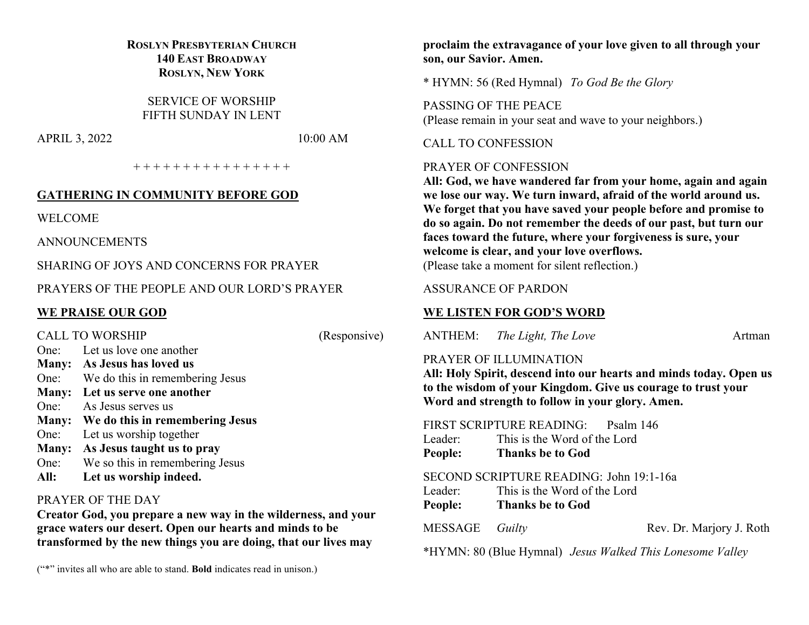# **ROSLYN PRESBYTERIAN CHURCH 140 EAST BROADWAY ROSLYN, NEW YORK**

SERVICE OF WORSHIP FIFTH SUNDAY IN LENT

APRIL 3, 2022 10:00 AM

+ + + + + + + + + + + + + + + +

## **GATHERING IN COMMUNITY BEFORE GOD**

WELCOME

ANNOUNCEMENTS

SHARING OF JOYS AND CONCERNS FOR PRAYER

PRAYERS OF THE PEOPLE AND OUR LORD'S PRAYER

# **WE PRAISE OUR GOD**

CALL TO WORSHIP (Responsive) One: Let us love one another **Many: As Jesus has loved us** One: We do this in remembering Jesus **Many: Let us serve one another** One: As Jesus serves us **Many: We do this in remembering Jesus** One: Let us worship together **Many: As Jesus taught us to pray** One: We so this in remembering Jesus **All: Let us worship indeed.**

## PRAYER OF THE DAY

**Creator God, you prepare a new way in the wilderness, and your grace waters our desert. Open our hearts and minds to be transformed by the new things you are doing, that our lives may** 

("\*" invites all who are able to stand. **Bold** indicates read in unison.)

**proclaim the extravagance of your love given to all through your son, our Savior. Amen.**

\* HYMN: 56 (Red Hymnal) *To God Be the Glory*

PASSING OF THE PEACE (Please remain in your seat and wave to your neighbors.)

CALL TO CONFESSION

#### PRAYER OF CONFESSION

**All: God, we have wandered far from your home, again and again we lose our way. We turn inward, afraid of the world around us. We forget that you have saved your people before and promise to do so again. Do not remember the deeds of our past, but turn our faces toward the future, where your forgiveness is sure, your welcome is clear, and your love overflows.** (Please take a moment for silent reflection.)

## ASSURANCE OF PARDON

## **WE LISTEN FOR GOD'S WORD**

ANTHEM: *The Light, The Love* Artman

# PRAYER OF ILLUMINATION

**All: Holy Spirit, descend into our hearts and minds today. Open us to the wisdom of your Kingdom. Give us courage to trust your Word and strength to follow in your glory. Amen.**

FIRST SCRIPTURE READING: Psalm 146

- Leader: This is the Word of the Lord
- **People: Thanks be to God**

#### SECOND SCRIPTURE READING: John 19:1-16a

- Leader: This is the Word of the Lord
- **People: Thanks be to God**
- 

MESSAGE *Guilty* Rev. Dr. Marjory J. Roth

\*HYMN: 80 (Blue Hymnal) *Jesus Walked This Lonesome Valley*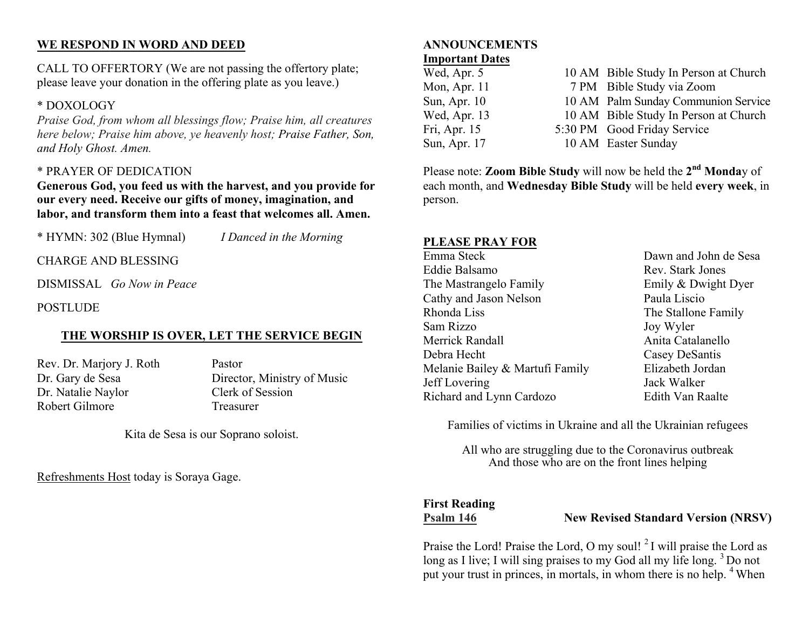# **WE RESPOND IN WORD AND DEED**

CALL TO OFFERTORY (We are not passing the offertory plate; please leave your donation in the offering plate as you leave.)

# \* DOXOLOGY

*Praise God, from whom all blessings flow; Praise him, all creatures here below; Praise him above, ye heavenly host; Praise Father, Son, and Holy Ghost. Amen.*

# \* PRAYER OF DEDICATION

**Generous God, you feed us with the harvest, and you provide for our every need. Receive our gifts of money, imagination, and labor, and transform them into a feast that welcomes all. Amen.**

\* HYMN: 302 (Blue Hymnal) *I Danced in the Morning*

CHARGE AND BLESSING

DISMISSAL *Go Now in Peace*

**POSTLUDE** 

# **THE WORSHIP IS OVER, LET THE SERVICE BEGIN**

Rev. Dr. Marjory J. Roth Pastor Dr. Natalie Naylor Clerk of Session Robert Gilmore Treasurer

Dr. Gary de Sesa Director, Ministry of Music

Kita de Sesa is our Soprano soloist.

Refreshments Host today is Soraya Gage.

## **ANNOUNCEMENTS Important Dates**

| Wed, Apr. 5  | 10 AM Bible Study In Person at Church |
|--------------|---------------------------------------|
| Mon, Apr. 11 | 7 PM Bible Study via Zoom             |
| Sun, Apr. 10 | 10 AM Palm Sunday Communion Service   |
| Wed, Apr. 13 | 10 AM Bible Study In Person at Church |
| Fri, Apr. 15 | 5:30 PM Good Friday Service           |
| Sun, Apr. 17 | 10 AM Easter Sunday                   |

Please note: **Zoom Bible Study** will now be held the **2nd Monda**y of each month, and **Wednesday Bible Study** will be held **every week**, in person.

## **PLEASE PRAY FOR**

Emma Steck Dawn and John de Sesa Eddie Balsamo Rev. Stark Jones The Mastrangelo Family **Emily & Dwight Dyer** Cathy and Jason Nelson Paula Liscio Rhonda Liss The Stallone Family Sam Rizzo Joy Wyler Merrick Randall **Anita** Catalanello Debra Hecht Casey DeSantis Melanie Bailey & Martufi Family Elizabeth Jordan Jeff Lovering Jack Walker Richard and Lynn Cardozo Edith Van Raalte

Families of victims in Ukraine and all the Ukrainian refugees

All who are struggling due to the Coronavirus outbreak And those who are on the front lines helping

# **First Reading**

**Psalm 146** New Revised Standard Version (NRSV)

Praise the Lord! Praise the Lord, O my soul!  $2I$  will praise the Lord as long as I live; I will sing praises to my God all my life long.<sup>3</sup> Do not put your trust in princes, in mortals, in whom there is no help. <sup>4</sup> When